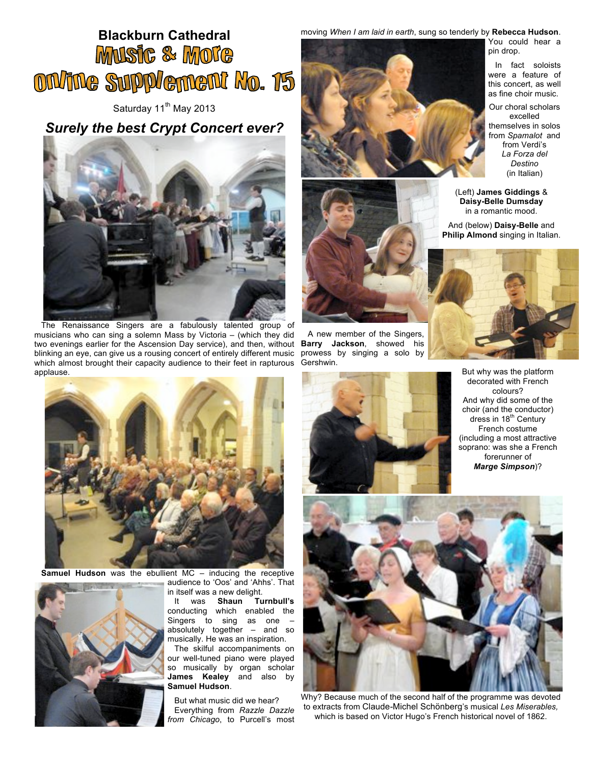## **Blackburn Cathedral MUSIC & MOTE** ONANG SUPPLEMENT NO. 15

Saturday 11<sup>th</sup> May 2013

## *Surely the best Crypt Concert ever?*



The Renaissance Singers are a fabulously talented group of musicians who can sing a solemn Mass by Victoria – (which they did two evenings earlier for the Ascension Day service), and then, without blinking an eye, can give us a rousing concert of entirely different music which almost brought their capacity audience to their feet in rapturous applause.



**Samuel Hudson** was the ebullient MC – inducing the receptive



audience to 'Oos' and 'Ahhs'. That in itself was a new delight.

It was **Shaun Turnbull's** conducting which enabled the Singers to sing as one – absolutely together – and so musically. He was an inspiration.

The skilful accompaniments on our well-tuned piano were played so musically by organ scholar **James Kealey** and also by **Samuel Hudson**.

But what music did we hear? Everything from *Razzle Dazzle from Chicago*, to Purcell's most moving *When I am laid in earth*, sung so tenderly by **Rebecca Hudson**.





A new member of the Singers, **Barry Jackson**, showed his prowess by singing a solo by Gershwin.



You could hear a pin drop.

In fact soloists were a feature of this concert, as well as fine choir music.

Our choral scholars excelled themselves in solos from *Spamalot* and from Verdi's *La Forza del Destino* (in Italian)

(Left) **James Giddings** & **Daisy-Belle Dumsday** in a romantic mood.

And (below) **Daisy-Belle** and **Philip Almond** singing in Italian.



But why was the platform decorated with French colours? And why did some of the choir (and the conductor) dress in 18<sup>th</sup> Century French costume (including a most attractive soprano: was she a French forerunner of *Marge Simpson*)?



Why? Because much of the second half of the programme was devoted to extracts from Claude*-*Michel Schönberg's musical *Les Miserables,*  which is based on Victor Hugo's French historical novel of 1862.